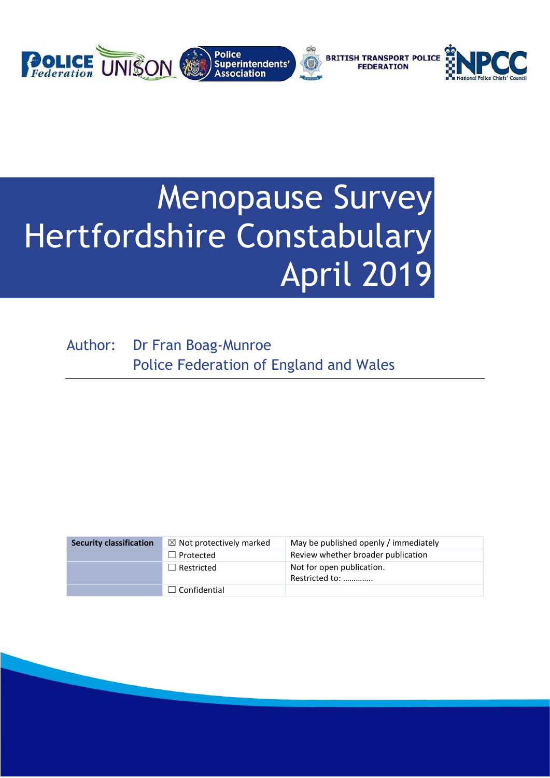

# Menopause Survey Hertfordshire Constabulary April 2019

Author: Dr Fran Boag-Munroe Police Federation of England and Wales

| <b>Security classification</b> | $\boxtimes$ Not protectively marked | May be published openly / immediately       |
|--------------------------------|-------------------------------------|---------------------------------------------|
|                                | $\Box$ Protected                    | Review whether broader publication          |
|                                | $\Box$ Restricted                   | Not for open publication.<br>Restricted to: |
|                                | $\Box$ Confidential                 |                                             |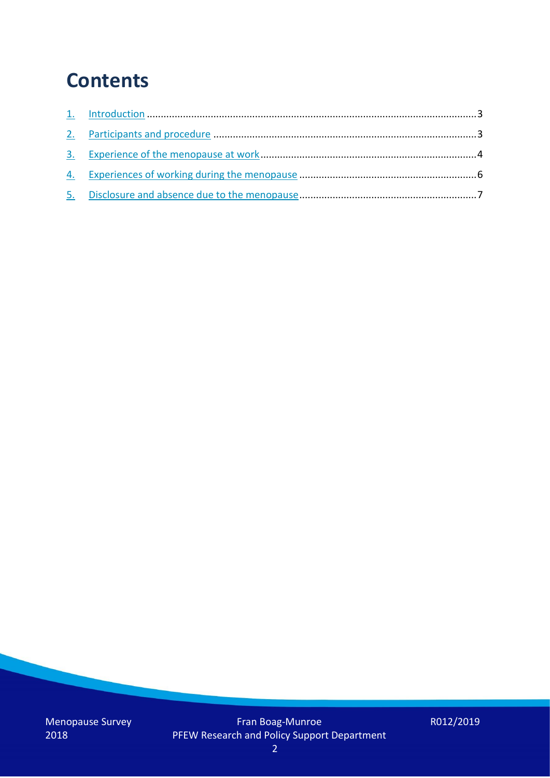## **Contents**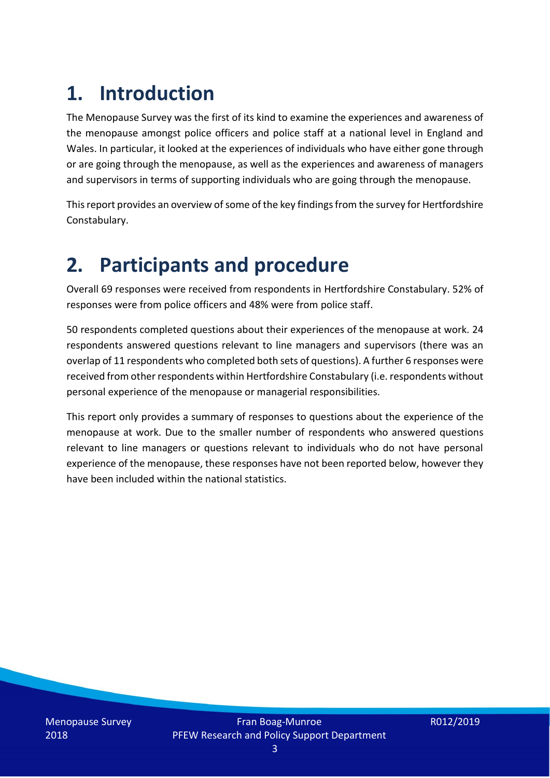## **1. Introduction**

The Menopause Survey was the first of its kind to examine the experiences and awareness of the menopause amongst police officers and police staff at a national level in England and Wales. In particular, it looked at the experiences of individuals who have either gone through or are going through the menopause, as well as the experiences and awareness of managers and supervisors in terms of supporting individuals who are going through the menopause.

This report provides an overview of some of the key findings from the survey for Hertfordshire Constabulary.

## **2. Participants and procedure**

Overall 69 responses were received from respondents in Hertfordshire Constabulary. 52% of responses were from police officers and 48% were from police staff.

50 respondents completed questions about their experiences of the menopause at work. 24 respondents answered questions relevant to line managers and supervisors (there was an overlap of 11 respondents who completed both sets of questions). A further 6 responses were received from other respondents within Hertfordshire Constabulary (i.e. respondents without personal experience of the menopause or managerial responsibilities.

This report only provides a summary of responses to questions about the experience of the menopause at work. Due to the smaller number of respondents who answered questions relevant to line managers or questions relevant to individuals who do not have personal experience of the menopause, these responses have not been reported below, however they have been included within the national statistics.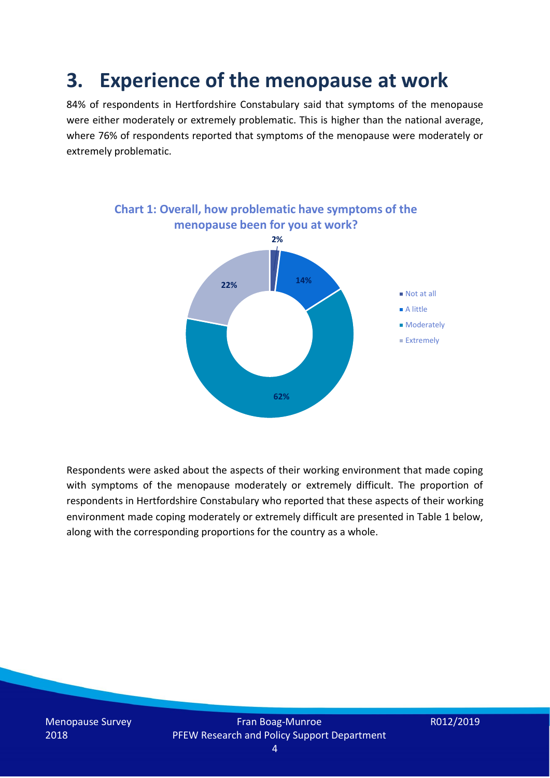## **3. Experience of the menopause at work**

84% of respondents in Hertfordshire Constabulary said that symptoms of the menopause were either moderately or extremely problematic. This is higher than the national average, where 76% of respondents reported that symptoms of the menopause were moderately or extremely problematic.



Respondents were asked about the aspects of their working environment that made coping with symptoms of the menopause moderately or extremely difficult. The proportion of respondents in Hertfordshire Constabulary who reported that these aspects of their working environment made coping moderately or extremely difficult are presented in Table 1 below, along with the corresponding proportions for the country as a whole.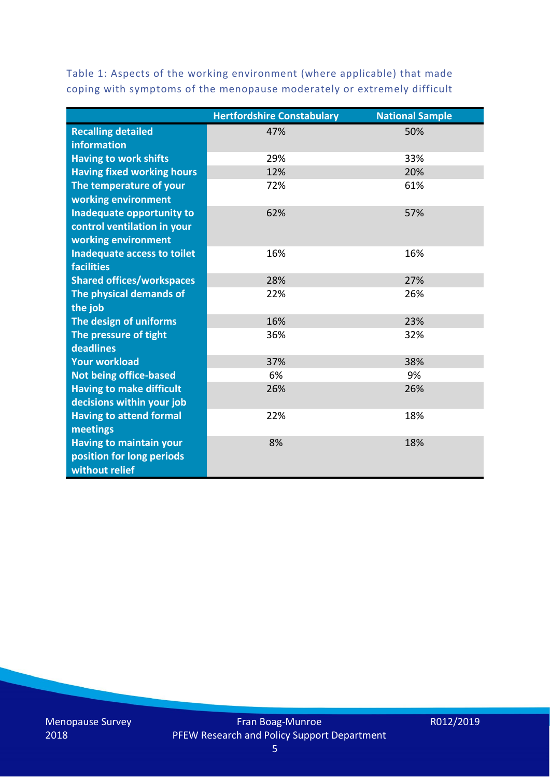Table 1: Aspects of the working environment (where applicable) that made coping with symptoms of the menopause moderately or extremely difficult

|                                   | <b>Hertfordshire Constabulary</b> | <b>National Sample</b> |
|-----------------------------------|-----------------------------------|------------------------|
| <b>Recalling detailed</b>         | 47%                               | 50%                    |
| information                       |                                   |                        |
| <b>Having to work shifts</b>      | 29%                               | 33%                    |
| <b>Having fixed working hours</b> | 12%                               | 20%                    |
| The temperature of your           | 72%                               | 61%                    |
| working environment               |                                   |                        |
| Inadequate opportunity to         | 62%                               | 57%                    |
| control ventilation in your       |                                   |                        |
| working environment               |                                   |                        |
| Inadequate access to toilet       | 16%                               | 16%                    |
| <b>facilities</b>                 |                                   |                        |
| <b>Shared offices/workspaces</b>  | 28%                               | 27%                    |
| The physical demands of           | 22%                               | 26%                    |
| the job                           |                                   |                        |
| The design of uniforms            | 16%                               | 23%                    |
| The pressure of tight             | 36%                               | 32%                    |
| deadlines                         |                                   |                        |
| <b>Your workload</b>              | 37%                               | 38%                    |
| <b>Not being office-based</b>     | 6%                                | 9%                     |
| <b>Having to make difficult</b>   | 26%                               | 26%                    |
| decisions within your job         |                                   |                        |
| <b>Having to attend formal</b>    | 22%                               | 18%                    |
| meetings                          |                                   |                        |
| <b>Having to maintain your</b>    | 8%                                | 18%                    |
| position for long periods         |                                   |                        |
| without relief                    |                                   |                        |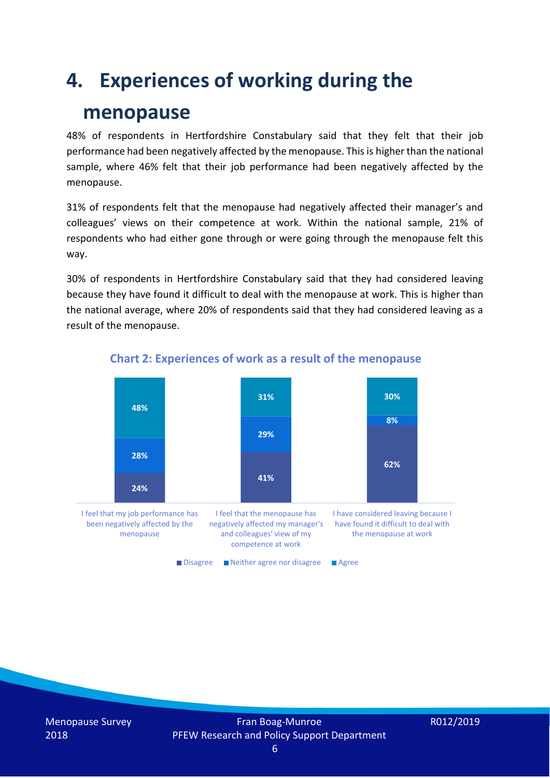## **4. Experiences of working during the**

### **menopause**

48% of respondents in Hertfordshire Constabulary said that they felt that their job performance had been negatively affected by the menopause. This is higher than the national sample, where 46% felt that their job performance had been negatively affected by the menopause.

31% of respondents felt that the menopause had negatively affected their manager's and colleagues' views on their competence at work. Within the national sample, 21% of respondents who had either gone through or were going through the menopause felt this way.

30% of respondents in Hertfordshire Constabulary said that they had considered leaving because they have found it difficult to deal with the menopause at work. This is higher than the national average, where 20% of respondents said that they had considered leaving as a result of the menopause.



#### **Chart 2: Experiences of work as a result of the menopause**